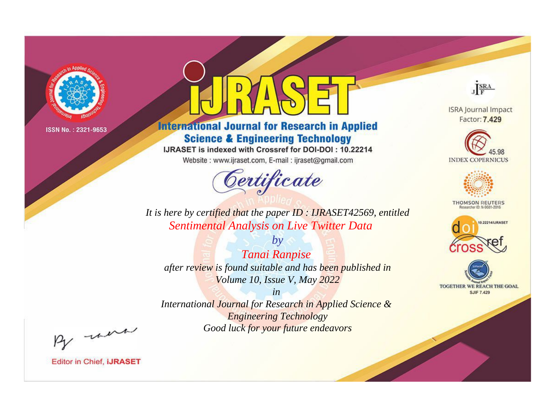

# **International Journal for Research in Applied Science & Engineering Technology**

IJRASET is indexed with Crossref for DOI-DOI: 10.22214

Website: www.ijraset.com, E-mail: ijraset@gmail.com



JERA

**ISRA Journal Impact** Factor: 7.429





**THOMSON REUTERS** 



TOGETHER WE REACH THE GOAL **SJIF 7.429** 

*It is here by certified that the paper ID : IJRASET42569, entitled Sentimental Analysis on Live Twitter Data*

*by Tanai Ranpise after review is found suitable and has been published in Volume 10, Issue V, May 2022*

*in* 

*International Journal for Research in Applied Science & Engineering Technology Good luck for your future endeavors*

By morn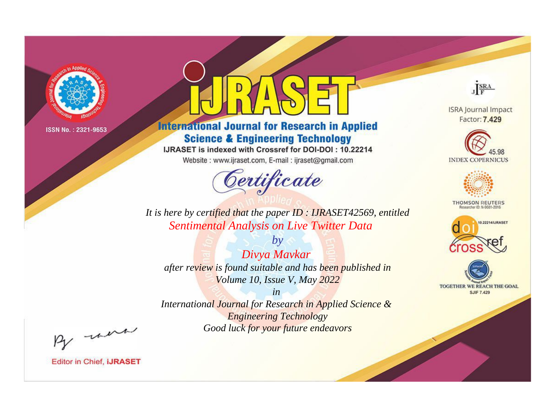

# **International Journal for Research in Applied Science & Engineering Technology**

IJRASET is indexed with Crossref for DOI-DOI: 10.22214

Website: www.ijraset.com, E-mail: ijraset@gmail.com



JERA

**ISRA Journal Impact** Factor: 7.429





**THOMSON REUTERS** 



TOGETHER WE REACH THE GOAL **SJIF 7.429** 

*It is here by certified that the paper ID : IJRASET42569, entitled Sentimental Analysis on Live Twitter Data*

*by Divya Mavkar after review is found suitable and has been published in Volume 10, Issue V, May 2022*

*in* 

*International Journal for Research in Applied Science & Engineering Technology Good luck for your future endeavors*

By morn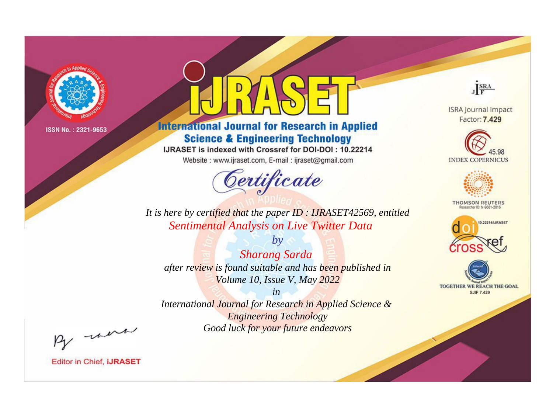

# **International Journal for Research in Applied Science & Engineering Technology**

IJRASET is indexed with Crossref for DOI-DOI: 10.22214

Website: www.ijraset.com, E-mail: ijraset@gmail.com



JERA

**ISRA Journal Impact** Factor: 7.429





**THOMSON REUTERS** 



TOGETHER WE REACH THE GOAL **SJIF 7.429** 

*It is here by certified that the paper ID : IJRASET42569, entitled Sentimental Analysis on Live Twitter Data*

*by Sharang Sarda after review is found suitable and has been published in Volume 10, Issue V, May 2022*

*in* 

*International Journal for Research in Applied Science & Engineering Technology Good luck for your future endeavors*

By morn